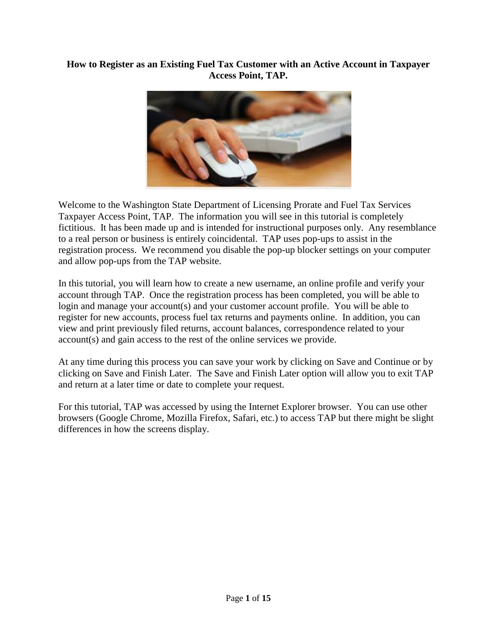## **How to Register as an Existing Fuel Tax Customer with an Active Account in Taxpayer Access Point, TAP.**



Welcome to the Washington State Department of Licensing Prorate and Fuel Tax Services Taxpayer Access Point, TAP. The information you will see in this tutorial is completely fictitious. It has been made up and is intended for instructional purposes only. Any resemblance to a real person or business is entirely coincidental. TAP uses pop-ups to assist in the registration process. We recommend you disable the pop-up blocker settings on your computer and allow pop-ups from the TAP website.

In this tutorial, you will learn how to create a new username, an online profile and verify your account through TAP. Once the registration process has been completed, you will be able to login and manage your account(s) and your customer account profile. You will be able to register for new accounts, process fuel tax returns and payments online. In addition, you can view and print previously filed returns, account balances, correspondence related to your account(s) and gain access to the rest of the online services we provide.

At any time during this process you can save your work by clicking on Save and Continue or by clicking on Save and Finish Later. The Save and Finish Later option will allow you to exit TAP and return at a later time or date to complete your request.

For this tutorial, TAP was accessed by using the Internet Explorer browser. You can use other browsers (Google Chrome, Mozilla Firefox, Safari, etc.) to access TAP but there might be slight differences in how the screens display.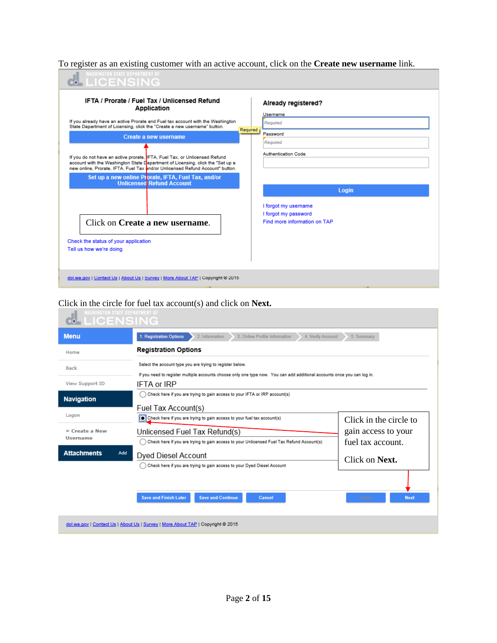To register as an existing customer with an active account, click on the **Create new username** link.

| <b>WASHINGTON STATE DEPARTMENT OF</b><br><b>LICENSING</b>                                                                                                                                                                                     |                                                                              |
|-----------------------------------------------------------------------------------------------------------------------------------------------------------------------------------------------------------------------------------------------|------------------------------------------------------------------------------|
| <b>IFTA / Prorate / Fuel Tax / Unlicensed Refund</b><br>Application                                                                                                                                                                           | Already registered?<br>Username                                              |
| If you already have an active Prorate and Fuel tax account with the Washington<br>State Department of Licensing, click the "Create a new username" button.                                                                                    | Reguired<br>Required                                                         |
| Create a new username                                                                                                                                                                                                                         | Password<br>Required                                                         |
| If you do not have an active prorate, IFTA, Fuel Tax, or Unlicensed Refund<br>account with the Washington State Department of Licensing, click the "Set up a<br>new online. Prorate. IFTA. Fuel Tax and/or Unlicensed Refund Account" button. | <b>Authentication Code</b>                                                   |
| Set up a new online Prorate, IFTA, Fuel Tax, and/or<br>Unlicensed Refund Account                                                                                                                                                              | Login                                                                        |
| Click on <b>Create a new username</b> .<br>Check the status of your application<br>Tell us how we're doing                                                                                                                                    | I forgot my username<br>I forgot my password<br>Find more information on TAP |
| dol.wa.gov   Contact Us   About Us   Survey   More About TAP   Copyright @ 2015                                                                                                                                                               |                                                                              |

## Click in the circle for fuel tax account(s) and click on **Next.**

| <b>LICENSIN</b>    |                                                                                                                          |                        |
|--------------------|--------------------------------------------------------------------------------------------------------------------------|------------------------|
| <b>Menu</b>        | 3. Online Profile Information<br>1. Registration Options<br>4. Verify Account<br>2. Information                          | 5. Summary             |
| Home               | <b>Registration Options</b>                                                                                              |                        |
| Back               | Select the account type you are trying to register below.                                                                |                        |
|                    | If you need to register multiple accounts choose only one type now. You can add additional accounts once you can log in. |                        |
| View Support ID    | <b>IFTA or IRP</b>                                                                                                       |                        |
| <b>Navigation</b>  | Check here if you are trying to gain access to your IFTA or IRP account(s)                                               |                        |
|                    | Fuel Tax Account(s)                                                                                                      |                        |
| Logon              | Check here if you are trying to gain access to your fuel tax account(s)                                                  | Click in the circle to |
| » Create a New     | Unlicensed Fuel Tax Refund(s)                                                                                            | gain access to your    |
| Username           | Check here if you are trying to gain access to your Unlicensed Fuel Tax Refund Account(s)                                | fuel tax account.      |
| <b>Attachments</b> | Add<br>Dyed Diesel Account                                                                                               |                        |
|                    | Check here if you are trying to gain access to your Dyed Diesel Account                                                  | Click on <b>Next</b> . |
|                    |                                                                                                                          |                        |
|                    |                                                                                                                          |                        |
|                    | <b>Save and Finish Later</b><br><b>Save and Continue</b><br>Cancel                                                       | <b>Next</b><br>Back    |
|                    |                                                                                                                          |                        |
|                    | dol.wa.gov   Contact Us   About Us   Survey   More About TAP   Copyright @ 2015                                          |                        |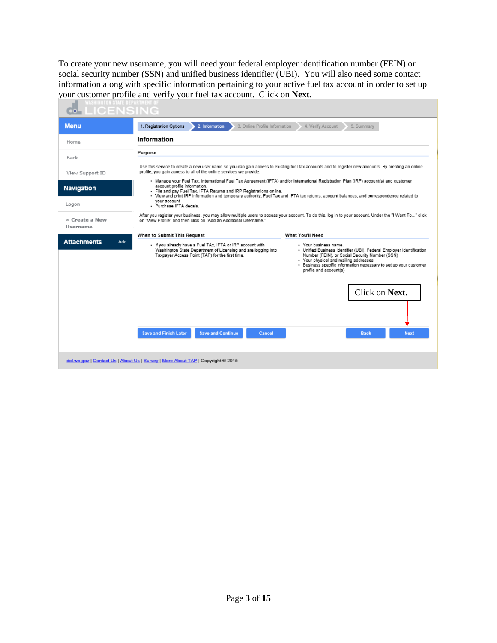To create your new username, you will need your federal employer identification number (FEIN) or social security number (SSN) and unified business identifier (UBI). You will also need some contact information along with specific information pertaining to your active fuel tax account in order to set up your customer profile and verify your fuel tax account. Click on **Next.**

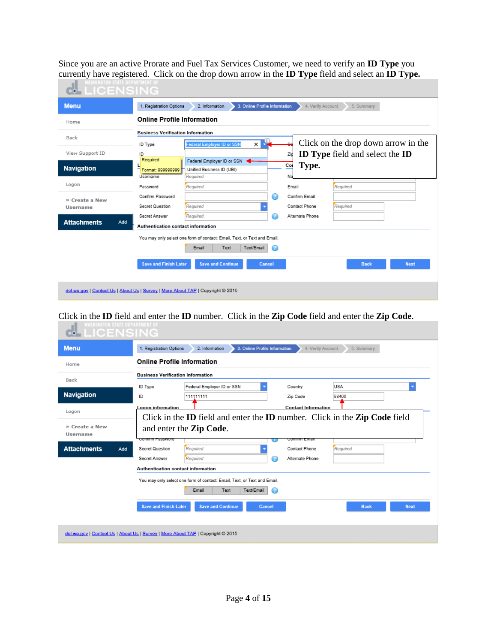Since you are an active Prorate and Fuel Tax Services Customer, we need to verify an **ID Type** you currently have registered. Click on the drop down arrow in the **ID Type** field and select an **ID Type.**

| <b>Menu</b>               | 1. Registration Options<br>3. Online Profile Information<br>4. Verify Account<br>2. Information<br>5. Summary |
|---------------------------|---------------------------------------------------------------------------------------------------------------|
| Home                      | <b>Online Profile Information</b>                                                                             |
| Back                      | <b>Business Verification Information</b>                                                                      |
|                           | Click on the drop down arrow in the<br>×<br>Federal Employer ID or SSN<br>ID Type                             |
| View Support ID           | <b>ID Type field and select the ID</b><br>ID<br>Zip                                                           |
| <b>Navigation</b>         | Required<br>Federal Employer ID or SSN<br>Type.<br>Co<br>Unified Business ID (UBI)<br>Format: 999999999       |
|                           | Required<br>Username<br>Na                                                                                    |
| Logon                     | Required<br>Email<br>Required<br>Password                                                                     |
| » Create a New            | Confirm Password<br>Confirm Email<br>$\scriptstyle\rm\scriptstyle{(2)}$                                       |
| <b>Username</b>           | Required<br>Required<br>Contact Phone<br>Secret Question                                                      |
|                           | Required<br>Alternate Phone<br>Secret Answer<br>IZ.                                                           |
| <b>Attachments</b><br>Add | Authentication contact information                                                                            |
|                           | You may only select one form of contact: Email, Text, or Text and Email.                                      |
|                           | Text<br>Text/Email<br>Email<br>⋒                                                                              |
|                           |                                                                                                               |
|                           | <b>Save and Finish Later</b><br><b>Save and Continue</b><br><b>Next</b><br>Cancel<br><b>Back</b>              |

Click in the **ID** field and enter the **ID** number. Click in the **Zip Code** field and enter the **Zip Code**.

| <b>Online Profile Information</b>        |                                                           |                                                                                                                               |                                                                                                                                           |
|------------------------------------------|-----------------------------------------------------------|-------------------------------------------------------------------------------------------------------------------------------|-------------------------------------------------------------------------------------------------------------------------------------------|
| <b>Business Verification Information</b> |                                                           |                                                                                                                               |                                                                                                                                           |
| Federal Employer ID or SSN<br>ID Type    | Country                                                   | <b>USA</b>                                                                                                                    | ٠                                                                                                                                         |
| 111111111<br>ID                          | Zip Code                                                  | 98406                                                                                                                         |                                                                                                                                           |
| Logon information                        |                                                           |                                                                                                                               |                                                                                                                                           |
|                                          |                                                           |                                                                                                                               |                                                                                                                                           |
| and enter the <b>Zip Code</b> .          |                                                           |                                                                                                                               |                                                                                                                                           |
|                                          |                                                           |                                                                                                                               |                                                                                                                                           |
| Secret Answer                            | Alternate Phone                                           |                                                                                                                               |                                                                                                                                           |
| Authentication contact information       |                                                           |                                                                                                                               |                                                                                                                                           |
|                                          |                                                           |                                                                                                                               |                                                                                                                                           |
| Email<br>Text                            | ⋒                                                         |                                                                                                                               |                                                                                                                                           |
|                                          |                                                           |                                                                                                                               |                                                                                                                                           |
|                                          | Commm Fassword<br>Required<br>Secret Question<br>Required | vonimin Email<br>Contact Phone<br>7<br>You may only select one form of contact: Email, Text, or Text and Email.<br>Text/Email | <b>Contact Information</b><br>Click in the <b>ID</b> field and enter the <b>ID</b> number. Click in the <b>Zip Code</b> field<br>Required |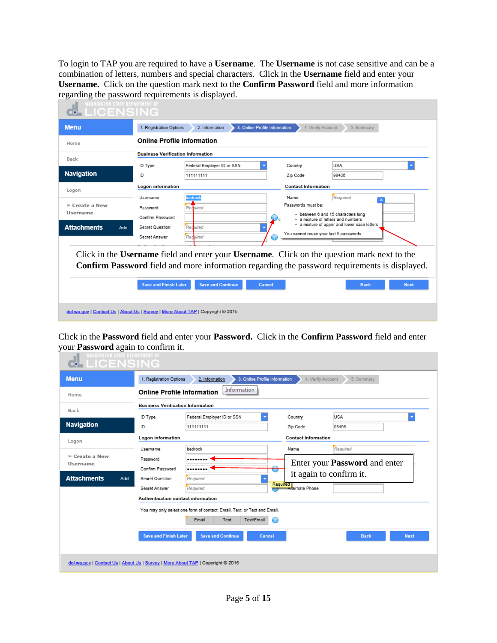To login to TAP you are required to have a **Username**. The **Username** is not case sensitive and can be a combination of letters, numbers and special characters. Click in the **Username** field and enter your **Username.** Click on the question mark next to the **Confirm Password** field and more information regarding the password requirements is displayed.

| <b>Menu</b>                                             | 1. Registration Options                                                      | 3. Online Profile Information<br>2. Information |                            | 4. Verify Account<br>5. Summary                                                                                                                                                                                                   |
|---------------------------------------------------------|------------------------------------------------------------------------------|-------------------------------------------------|----------------------------|-----------------------------------------------------------------------------------------------------------------------------------------------------------------------------------------------------------------------------------|
| Home                                                    | <b>Online Profile Information</b>                                            |                                                 |                            |                                                                                                                                                                                                                                   |
| Back                                                    | <b>Business Verification Information</b>                                     |                                                 |                            |                                                                                                                                                                                                                                   |
|                                                         | ID Type                                                                      | Federal Employer ID or SSN                      | Country                    | <b>USA</b>                                                                                                                                                                                                                        |
| Navigation                                              | ID                                                                           | 111111111                                       | Zip Code                   | 98406                                                                                                                                                                                                                             |
| Logon                                                   | Logon information                                                            |                                                 | <b>Contact Information</b> |                                                                                                                                                                                                                                   |
| » Create a New<br>Username<br><b>Attachments</b><br>Add | Username<br>Password<br>Confirm Password<br>Secret Question<br>Secret Answer | redrock<br>Required<br>Required<br>Reguired     | Name<br>Passwords must be: | Required<br>• between 6 and 15 characters long<br>· a mixture of letters and numbers<br>- a mixture of upper and lower case letters<br>You cannot reuse your last 5 passwords                                                     |
|                                                         | <b>Save and Finish Later</b>                                                 | <b>Save and Continue</b><br>Cancel              |                            | Click in the Username field and enter your Username. Click on the question mark next to the<br><b>Confirm Password</b> field and more information regarding the password requirements is displayed.<br><b>Next</b><br><b>Back</b> |

Click in the **Password** field and enter your **Password.** Click in the **Confirm Password** field and enter your **Password** again to confirm it.

| <b>Menu</b>                       | 1. Registration Options                  | 3. Online Profile Information<br>2. Information                          | 4. Verify Account          | 5. Summary                           |
|-----------------------------------|------------------------------------------|--------------------------------------------------------------------------|----------------------------|--------------------------------------|
| Home                              | <b>Online Profile Information</b>        | Information                                                              |                            |                                      |
| Back                              | <b>Business Verification Information</b> |                                                                          |                            |                                      |
|                                   | ID Type                                  | Federal Employer ID or SSN                                               | Country                    | <b>USA</b>                           |
| Navigation                        | ID                                       | 111111111                                                                | Zip Code                   | 98406                                |
| Logon                             | Logon information                        |                                                                          | <b>Contact Information</b> |                                      |
|                                   | Username                                 | bedrock                                                                  | Name                       | Required                             |
| » Create a New<br><b>Username</b> | Password                                 |                                                                          |                            | Enter your <b>Password</b> and enter |
|                                   | Confirm Password                         |                                                                          |                            |                                      |
| <b>Attachments</b><br>Add         | Secret Question                          | Required                                                                 | Required                   | it again to confirm it.              |
|                                   | Secret Answer                            | Required                                                                 | <b>Anternate Phone</b>     |                                      |
|                                   | Authentication contact information       |                                                                          |                            |                                      |
|                                   |                                          | You may only select one form of contact: Email, Text, or Text and Email. |                            |                                      |
|                                   |                                          | Text/Email<br>Email<br>Text<br>Œ                                         |                            |                                      |
|                                   | <b>Save and Finish Later</b>             | <b>Save and Continue</b><br>Cancel                                       |                            | <b>Next</b><br><b>Back</b>           |
|                                   |                                          |                                                                          |                            |                                      |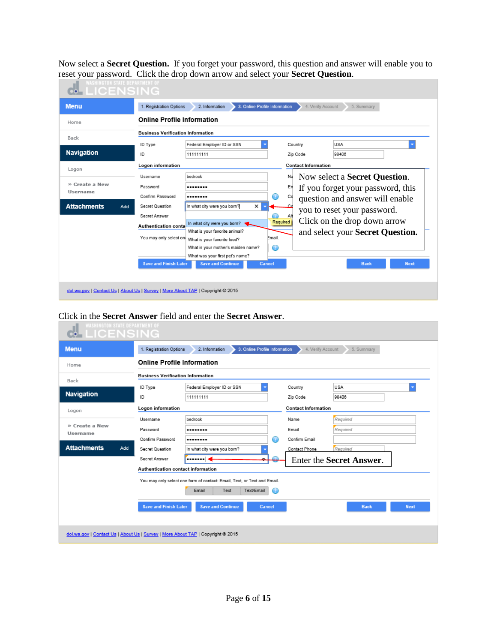Now select a **Secret Question.** If you forget your password, this question and answer will enable you to reset your password. Click the drop down arrow and select your **Secret Question**.

| <b>Menu</b>               | 1. Registration Options                  | 3. Online Profile Information<br>2. Information |                            |                            | 4. Verify Account<br>5. Summary       |
|---------------------------|------------------------------------------|-------------------------------------------------|----------------------------|----------------------------|---------------------------------------|
| Home                      | <b>Online Profile Information</b>        |                                                 |                            |                            |                                       |
|                           | <b>Business Verification Information</b> |                                                 |                            |                            |                                       |
| Back                      | ID Type                                  | Federal Employer ID or SSN                      |                            | Country                    | USA                                   |
| <b>Navigation</b>         | ID                                       | 111111111                                       |                            | Zip Code                   | 98406                                 |
| Logon                     | Logon information                        |                                                 |                            | <b>Contact Information</b> |                                       |
|                           | Username                                 | bedrock                                         |                            | Na                         | Now select a <b>Secret Question</b> . |
| » Create a New            | Password                                 |                                                 |                            | En                         | If you forget your password, this     |
| <b>Username</b>           | Confirm Password                         |                                                 | $\left( \mathbf{r}\right)$ | Co                         | question and answer will enable       |
| <b>Attachments</b><br>Add | Secret Question                          | ×<br>In what city were you born?                |                            |                            | you to reset your password.           |
|                           | Secret Answer                            |                                                 | Al                         |                            |                                       |
|                           | <b>Authentication conta</b>              | In what city were you born?                     | Required                   |                            | Click on the drop down arrow          |
|                           |                                          | What is your favorite animal?                   |                            |                            | and select your Secret Question.      |
|                           | You may only select on                   | What is your favorite food?                     | Email.                     |                            |                                       |
|                           |                                          | What is your mother's maiden name?              | ⊙                          |                            |                                       |
|                           |                                          | What was your first pet's name?                 |                            |                            |                                       |
|                           | <b>Save and Finish Later</b>             | <b>Save and Continue</b>                        | Cancel                     |                            | <b>Next</b><br><b>Back</b>            |

## Click in the **Secret Answer** field and enter the **Secret Answer**.

| <b>WASHINGTON STATE DEPARTMENT OF</b><br><b>LICENSING</b><br>oÓ                 |                                          |                                                                          |                            |                            |
|---------------------------------------------------------------------------------|------------------------------------------|--------------------------------------------------------------------------|----------------------------|----------------------------|
| <b>Menu</b>                                                                     | 1. Registration Options                  | 3. Online Profile Information<br>2. Information                          | 4. Verify Account          | 5. Summary                 |
| Home                                                                            | <b>Online Profile Information</b>        |                                                                          |                            |                            |
| Back                                                                            | <b>Business Verification Information</b> |                                                                          |                            |                            |
|                                                                                 | ID Type                                  | Federal Employer ID or SSN                                               | Country                    | <b>USA</b>                 |
| <b>Navigation</b>                                                               | ID                                       | 111111111                                                                | Zip Code                   | 98406                      |
| Logon                                                                           | Logon information                        |                                                                          | <b>Contact Information</b> |                            |
|                                                                                 | Username                                 | bedrock                                                                  | Name                       | Required                   |
| » Create a New<br><b>Username</b>                                               | Password                                 |                                                                          | Email                      | Required                   |
|                                                                                 | Confirm Password                         |                                                                          | Confirm Email              |                            |
| <b>Attachments</b><br>Add                                                       | Secret Question                          | In what city were you born?                                              | Contact Phone              | Required                   |
|                                                                                 | Secret Answer                            | <b></b> <                                                                |                            | Enter the Secret Answer.   |
|                                                                                 | Authentication contact information       |                                                                          |                            |                            |
|                                                                                 |                                          | You may only select one form of contact: Email, Text, or Text and Email. |                            |                            |
|                                                                                 |                                          | Text/Email<br>Email<br>Text<br>C.                                        |                            |                            |
|                                                                                 | <b>Save and Finish Later</b>             | <b>Save and Continue</b><br>Cancel                                       |                            | <b>Back</b><br><b>Next</b> |
| dol.wa.gov   Contact Us   About Us   Survey   More About TAP   Copyright @ 2015 |                                          |                                                                          |                            |                            |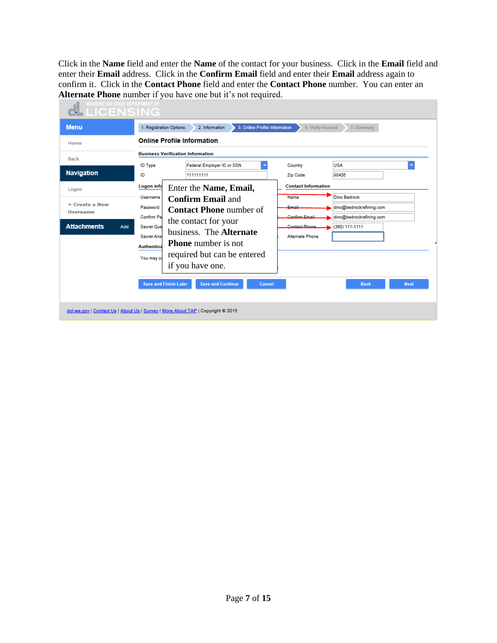Click in the **Name** field and enter the **Name** of the contact for your business. Click in the **Email** field and enter their **Email** address. Click in the **Confirm Email** field and enter their **Email** address again to confirm it. Click in the **Contact Phone** field and enter the **Contact Phone** number. You can enter an **Alternate Phone** number if you have one but it's not required.

| <b>MELICENSING</b><br><b>Menu</b>                                       | 3. Online Profile Information<br>1. Registration Options<br>2. Information<br>4. Verify Account<br>5. Summary                                                                                                                                                                                                                                                                                                                                                      |
|-------------------------------------------------------------------------|--------------------------------------------------------------------------------------------------------------------------------------------------------------------------------------------------------------------------------------------------------------------------------------------------------------------------------------------------------------------------------------------------------------------------------------------------------------------|
| Home                                                                    | <b>Online Profile Information</b>                                                                                                                                                                                                                                                                                                                                                                                                                                  |
| Back<br>Navigation                                                      | <b>Business Verification Information</b><br>Federal Employer ID or SSN<br>USA<br>ID Type<br>Country<br>111111111<br>98406<br>ID<br>Zip Code<br><b>Contact Information</b><br>Logon info                                                                                                                                                                                                                                                                            |
| Logon<br>» Create a New<br><b>Username</b><br><b>Attachments</b><br>Add | Enter the Name, Email,<br>Dino Bedrock<br>Username<br>Name<br><b>Confirm Email and</b><br>Password<br>Email<br>dino@bedrockrefining.com<br><b>Contact Phone number of</b><br>Confirm Pa<br>Confirm Email<br>dino@bedrockrefining.com<br>the contact for your<br>Contact Phone<br>(360) 111-1111<br>Secret Que<br>business. The Alternate<br>Alternate Phone<br>Secret Ans<br><b>Phone</b> number is not<br>Authentica<br>required but can be entered<br>You may or |
|                                                                         | if you have one.<br><b>Save and Finish Later</b><br><b>Save and Continue</b><br><b>Next</b><br>Cancel<br><b>Back</b><br>dol.wa.gov   Contact Us   About Us   Survey   More About TAP   Copyright @ 2015                                                                                                                                                                                                                                                            |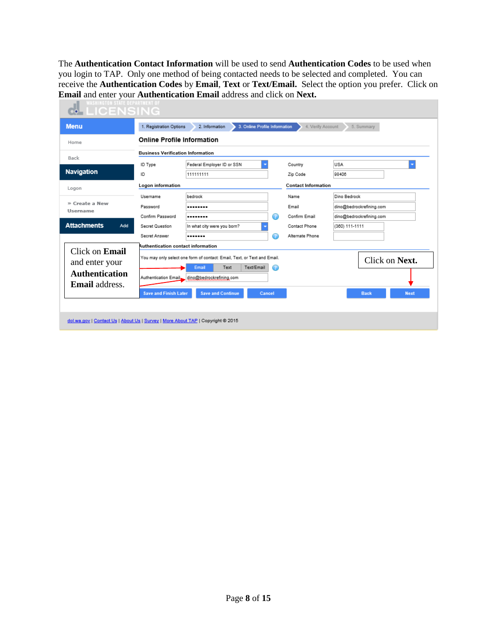The **Authentication Contact Information** will be used to send **Authentication Codes** to be used when you login to TAP. Only one method of being contacted needs to be selected and completed. You can receive the **Authentication Codes** by **Email**, **Text** or **Text/Email.** Select the option you prefer. Click on **Email** and enter your **Authentication Email** address and click on **Next.**

| <b>WASHINGTON STATE DEPARTMENT OF</b><br>⊶LICENSING                             |                                          |                                                                          |                            |                            |
|---------------------------------------------------------------------------------|------------------------------------------|--------------------------------------------------------------------------|----------------------------|----------------------------|
| <b>Menu</b>                                                                     | 1. Registration Options                  | 3. Online Profile Information<br>2. Information                          | 4. Verify Account          | 5. Summary                 |
| Home                                                                            | <b>Online Profile Information</b>        |                                                                          |                            |                            |
| Back                                                                            | <b>Business Verification Information</b> |                                                                          |                            |                            |
|                                                                                 | ID Type                                  | Federal Employer ID or SSN                                               | Country                    | <b>USA</b>                 |
| <b>Navigation</b>                                                               | ID                                       | 111111111                                                                | Zip Code                   | 98406                      |
| Logon                                                                           | Logon information                        |                                                                          | <b>Contact Information</b> |                            |
|                                                                                 | Username                                 | bedrock                                                                  | Name                       | Dino Bedrock               |
| » Create a New<br><b>Username</b>                                               | Password                                 |                                                                          | Email                      | dino@bedrockrefining.com   |
|                                                                                 | Confirm Password                         | O<br>                                                                    | Confirm Email              | dino@bedrockrefining.com   |
| <b>Attachments</b><br>Add                                                       | Secret Question                          | In what city were you born?                                              | Contact Phone              | (360) 111-1111             |
|                                                                                 | Secret Answer                            | Ω<br>                                                                    | Alternate Phone            |                            |
| Click on <b>Email</b>                                                           | Authentication contact information       |                                                                          |                            |                            |
| and enter your                                                                  |                                          | You may only select one form of contact: Email, Text, or Text and Email. |                            | Click on Next.             |
| <b>Authentication</b>                                                           |                                          | Text/Email<br>Text<br>Email<br>⊙                                         |                            |                            |
| <b>Email</b> address.                                                           |                                          | Authentication Email dino@bedrockrefining.com                            |                            |                            |
|                                                                                 | <b>Save and Finish Later</b>             | <b>Save and Continue</b><br>Cancel                                       |                            | <b>Next</b><br><b>Back</b> |
|                                                                                 |                                          |                                                                          |                            |                            |
|                                                                                 |                                          |                                                                          |                            |                            |
| dol.wa.gov   Contact Us   About Us   Survey   More About TAP   Copyright @ 2015 |                                          |                                                                          |                            |                            |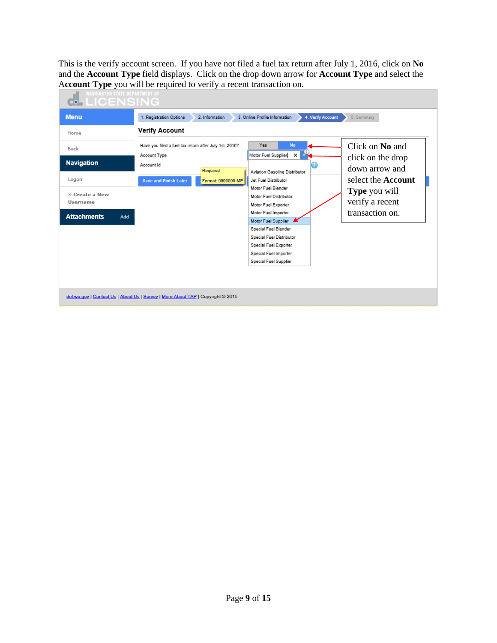This is the verify account screen. If you have not filed a fuel tax return after July 1, 2016, click on **No** and the **Account Type** field displays. Click on the drop down arrow for **Account Type** and select the A**ccount Type** you will be required to verify a recent transaction on.

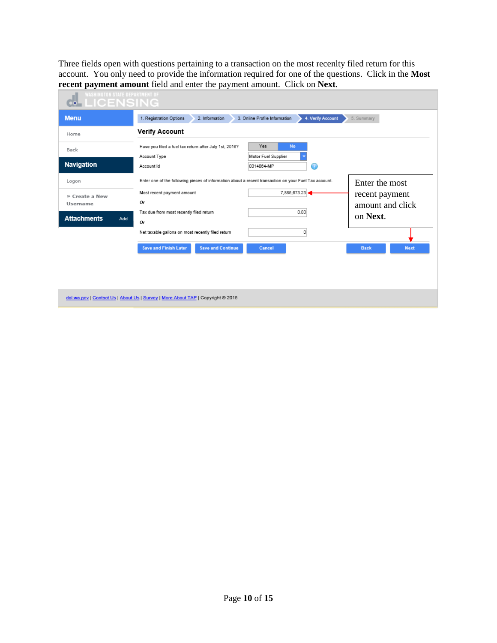Three fields open with questions pertaining to a transaction on the most recenlty filed return for this account. You only need to provide the information required for one of the questions. Click in the **Most recent payment amount** field and enter the payment amount. Click on **Next**.

| <b>WASHINGTON STATE DEPARTMENT OF</b><br><b>MELICENSING</b> |                                                                                                                         |
|-------------------------------------------------------------|-------------------------------------------------------------------------------------------------------------------------|
| <b>Menu</b>                                                 | 1. Registration Options<br>4. Verify Account<br>2. Information<br>3. Online Profile Information<br>5. Summary           |
| Home                                                        | <b>Verify Account</b>                                                                                                   |
| Back                                                        | Yes<br><b>No</b><br>Have you filed a fuel tax return after July 1st, 2016?<br>Motor Fuel Supplier<br>Account Type       |
| <b>Navigation</b>                                           | 0014064-MP<br>Ø<br>Account Id                                                                                           |
| Logon                                                       | Enter one of the following pieces of information about a recent transaction on your Fuel Tax account.<br>Enter the most |
| » Create a New<br><b>Username</b>                           | 7.885.673.23<br>Most recent payment amount<br>recent payment<br>Or<br>amount and click                                  |
| <b>Attachments</b><br>Add                                   | 0.00<br>Tax due from most recently filed return<br>on Next.<br>0r                                                       |
|                                                             | Net taxable gallons on most recently filed return<br>0                                                                  |
|                                                             | <b>Save and Finish Later</b><br><b>Save and Continue</b><br><b>Next</b><br>Cancel<br><b>Back</b>                        |
|                                                             |                                                                                                                         |
|                                                             |                                                                                                                         |

dol.wa.gov | Contact Us | About Us | Survey | More About TAP | Copyright @ 2015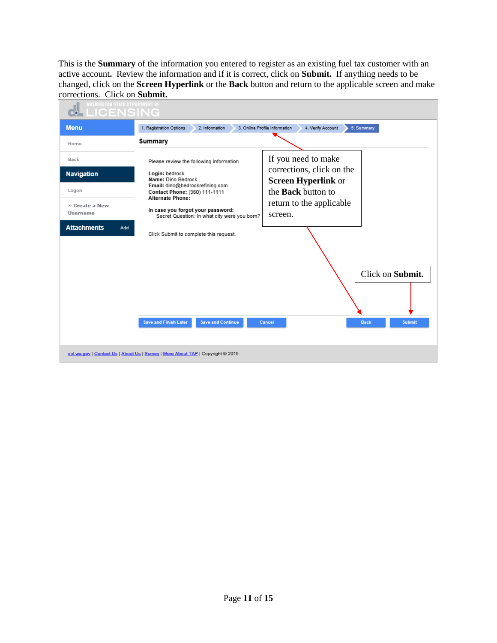This is the **Summary** of the information you entered to register as an existing fuel tax customer with an active account**.** Review the information and if it is correct, click on **Submit.** If anything needs to be changed, click on the **Screen Hyperlink** or the **Back** button and return to the applicable screen and make corrections. Click on **Submit.**

| <b>WASHINGTON STATE DEPARTMENT OF</b><br>LICENSING                                                   |                                                                                                                                                                                                                                                                                                                                                                                                                                                                     |
|------------------------------------------------------------------------------------------------------|---------------------------------------------------------------------------------------------------------------------------------------------------------------------------------------------------------------------------------------------------------------------------------------------------------------------------------------------------------------------------------------------------------------------------------------------------------------------|
| <b>Menu</b>                                                                                          | 1. Registration Options<br>3. Online Profile Information<br>4. Verify Account<br>2. Information<br>5. Summary                                                                                                                                                                                                                                                                                                                                                       |
| Home                                                                                                 | Summary                                                                                                                                                                                                                                                                                                                                                                                                                                                             |
| Back<br><b>Navigation</b><br>Logon<br>» Create a New<br><b>Username</b><br><b>Attachments</b><br>Add | If you need to make<br>Please review the following information<br>corrections, click on the<br>Login: bedrock<br>Name: Dino Bedrock<br><b>Screen Hyperlink or</b><br>Email: dino@bedrockrefining.com<br>the <b>Back</b> button to<br>Contact Phone: (360) 111-1111<br><b>Alternate Phone:</b><br>return to the applicable<br>In case you forgot your password:<br>screen.<br>Secret Question: In what city were you born?<br>Click Submit to complete this request. |
|                                                                                                      | Click on Submit.<br><b>Save and Finish Later</b><br><b>Save and Continue</b><br><b>Submit</b><br>Cancel<br><b>Back</b>                                                                                                                                                                                                                                                                                                                                              |
|                                                                                                      | dol.wa.gov   Contact Us   About Us   Survey   More About TAP   Copyright @ 2015                                                                                                                                                                                                                                                                                                                                                                                     |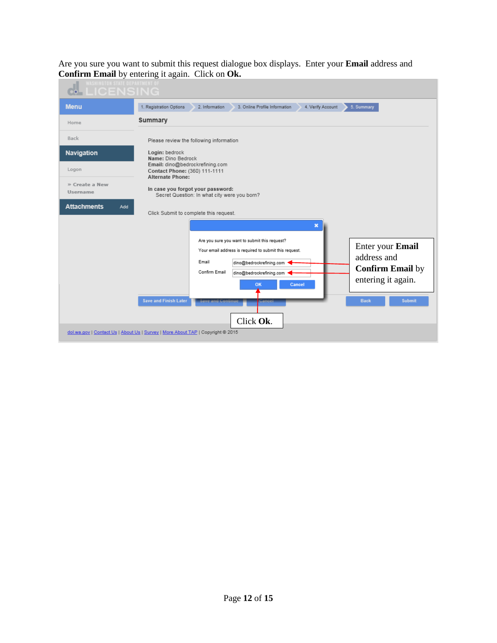Are you sure you want to submit this request dialogue box displays. Enter your **Email** address and **Confirm Email** by entering it again. Click on **Ok.**

| <b>WASHINGTON STATE DEPARTMENT OF</b><br><b><i>ELICENSING</i></b> |                                                                                                                                                                                                                                                                                                                                                                                                                                                                                                                                  |  |  |  |  |  |  |
|-------------------------------------------------------------------|----------------------------------------------------------------------------------------------------------------------------------------------------------------------------------------------------------------------------------------------------------------------------------------------------------------------------------------------------------------------------------------------------------------------------------------------------------------------------------------------------------------------------------|--|--|--|--|--|--|
| <b>Menu</b>                                                       | 1. Registration Options<br>2. Information<br>3. Online Profile Information<br>4. Verify Account<br>5. Summary                                                                                                                                                                                                                                                                                                                                                                                                                    |  |  |  |  |  |  |
| Home                                                              | Summary                                                                                                                                                                                                                                                                                                                                                                                                                                                                                                                          |  |  |  |  |  |  |
| <b>Back</b>                                                       | Please review the following information                                                                                                                                                                                                                                                                                                                                                                                                                                                                                          |  |  |  |  |  |  |
| <b>Navigation</b>                                                 | Login: bedrock<br>Name: Dino Bedrock                                                                                                                                                                                                                                                                                                                                                                                                                                                                                             |  |  |  |  |  |  |
| Logon                                                             | Email: dino@bedrockrefining.com<br>Contact Phone: (360) 111-1111<br><b>Alternate Phone:</b>                                                                                                                                                                                                                                                                                                                                                                                                                                      |  |  |  |  |  |  |
| » Create a New<br>Username                                        | In case you forgot your password:<br>Secret Question: In what city were you born?                                                                                                                                                                                                                                                                                                                                                                                                                                                |  |  |  |  |  |  |
| <b>Attachments</b><br>Add                                         | Click Submit to complete this request.                                                                                                                                                                                                                                                                                                                                                                                                                                                                                           |  |  |  |  |  |  |
|                                                                   | $\boldsymbol{\mathsf{x}}$<br>Are you sure you want to submit this request?<br>Enter your Email<br>Your email address is required to submit this request.<br>address and<br>Email<br>dino@bedrockrefining.com<br><b>Confirm Email by</b><br>Confirm Email<br>dino@bedrockrefining.com<br>entering it again.<br>Cancel<br>OK<br><b>Save and Finish Later</b><br><b>Submit</b><br><b>Back</b><br><b>Save and Continue</b><br>Gancel<br>Click Ok.<br>dol.wa.gov   Contact Us   About Us   Survey   More About TAP   Copyright @ 2015 |  |  |  |  |  |  |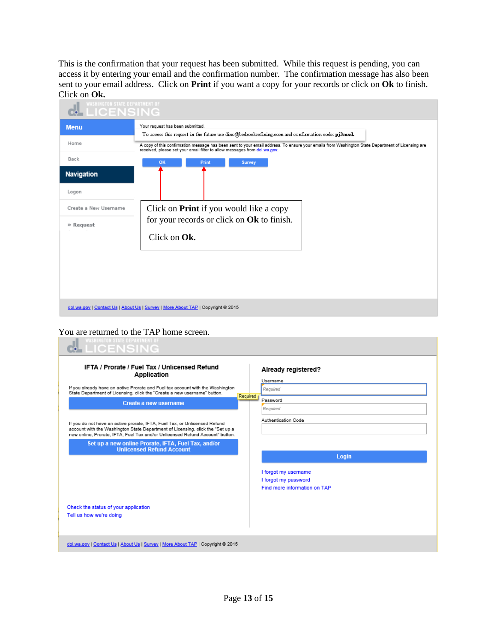This is the confirmation that your request has been submitted. While this request is pending, you can access it by entering your email and the confirmation number. The confirmation message has also been sent to your email address. Click on **Print** if you want a copy for your records or click on **Ok** to finish. Click on **Ok.**

| <b>WASHINGTON STATE DEPARTMENT OF</b><br><b>LICENSING</b> |                                                                                                                                                                                                                               |  |  |  |  |  |
|-----------------------------------------------------------|-------------------------------------------------------------------------------------------------------------------------------------------------------------------------------------------------------------------------------|--|--|--|--|--|
| <b>Menu</b>                                               | Your request has been submitted.<br>To access this request in the future use dino@bedrockrefining.com and confirmation code: pj3mxd.                                                                                          |  |  |  |  |  |
| Home                                                      | A copy of this confirmation message has been sent to your email address. To ensure your emails from Washington State Department of Licensing are<br>received, please set your email filter to allow messages from dol.wa.gov. |  |  |  |  |  |
| Back                                                      | OK<br>Print<br><b>Survey</b>                                                                                                                                                                                                  |  |  |  |  |  |
| <b>Navigation</b>                                         |                                                                                                                                                                                                                               |  |  |  |  |  |
| Logon                                                     |                                                                                                                                                                                                                               |  |  |  |  |  |
| Create a New Username                                     | Click on <b>Print</b> if you would like a copy                                                                                                                                                                                |  |  |  |  |  |
| » Request                                                 | for your records or click on Ok to finish.<br>Click on Ok.                                                                                                                                                                    |  |  |  |  |  |
|                                                           |                                                                                                                                                                                                                               |  |  |  |  |  |
|                                                           |                                                                                                                                                                                                                               |  |  |  |  |  |
|                                                           |                                                                                                                                                                                                                               |  |  |  |  |  |
|                                                           |                                                                                                                                                                                                                               |  |  |  |  |  |
|                                                           | dol.wa.gov   Contact Us   About Us   Survey   More About TAP   Copyright @ 2015                                                                                                                                               |  |  |  |  |  |

You are returned to the TAP home screen.

| <b>WASHINGTON STATE DEPARTMENT OF</b><br><b>MLICENSING</b>                                                                                                                                                                                                                                                                                                                                                                                                                                                  |                                                                                                               |
|-------------------------------------------------------------------------------------------------------------------------------------------------------------------------------------------------------------------------------------------------------------------------------------------------------------------------------------------------------------------------------------------------------------------------------------------------------------------------------------------------------------|---------------------------------------------------------------------------------------------------------------|
| <b>IFTA / Prorate / Fuel Tax / Unlicensed Refund</b><br>Application<br>If you already have an active Prorate and Fuel tax account with the Washington<br>State Department of Licensing, click the "Create a new username" button.<br>Create a new username<br>If you do not have an active prorate, IFTA, Fuel Tax, or Unlicensed Refund<br>account with the Washington State Department of Licensing, click the "Set up a<br>new online, Prorate, IFTA, Fuel Tax and/or Unlicensed Refund Account" button, | Already registered?<br>Username<br>Required<br>Required<br>Password<br>Required<br><b>Authentication Code</b> |
| Set up a new online Prorate, IFTA, Fuel Tax, and/or<br><b>Unlicensed Refund Account</b><br>Check the status of your application<br>Tell us how we're doing                                                                                                                                                                                                                                                                                                                                                  | Login<br>I forgot my username<br>I forgot my password<br>Find more information on TAP                         |
| dol.wa.gov   Contact Us   About Us   Survey   More About TAP   Copyright @ 2015                                                                                                                                                                                                                                                                                                                                                                                                                             |                                                                                                               |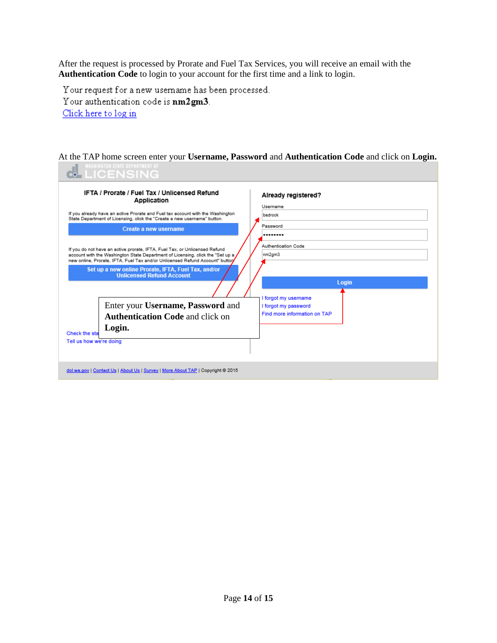After the request is processed by Prorate and Fuel Tax Services, you will receive an email with the **Authentication Code** to login to your account for the first time and a link to login.

Your request for a new username has been processed.

Your authentication code is nm2gm3.

Click here to log in

At the TAP home screen enter your **Username, Password** and **Authentication Code** and click on **Login.**

| <b>WASHINGIUM SIAIL UEFAKIMENI U</b> I<br><b>LICENSING</b>                                                                                                                                                                                                                                                                                                                                                                                                                                                                                                                                                                                                                                                                           |                                                                                                                                                                                      |
|--------------------------------------------------------------------------------------------------------------------------------------------------------------------------------------------------------------------------------------------------------------------------------------------------------------------------------------------------------------------------------------------------------------------------------------------------------------------------------------------------------------------------------------------------------------------------------------------------------------------------------------------------------------------------------------------------------------------------------------|--------------------------------------------------------------------------------------------------------------------------------------------------------------------------------------|
| IFTA / Prorate / Fuel Tax / Unlicensed Refund<br>Application<br>If you already have an active Prorate and Fuel tax account with the Washington<br>State Department of Licensing, click the "Create a new username" button.<br>Create a new username<br>If you do not have an active prorate, IFTA, Fuel Tax, or Unlicensed Refund<br>account with the Washington State Department of Licensing, click the "Set up a<br>new online, Prorate, IFTA, Fuel Tax and/or Unlicensed Refund Account" button<br>Set up a new online Prorate, IFTA, Fuel Tax, and/or<br><b>Unlicensed Refund Account</b><br>Enter your Username, Password and<br><b>Authentication Code and click on</b><br>Login.<br>Check the sta<br>Tell us how we're doing | Already registered?<br>Username<br>bedrock<br>Password<br><br>Authentication Code<br>nm2gm3<br>Login<br>I forgot my username<br>I forgot my password<br>Find more information on TAP |
| dol.wa.gov   Contact Us   About Us   Survey   More About TAP   Copyright @ 2015                                                                                                                                                                                                                                                                                                                                                                                                                                                                                                                                                                                                                                                      |                                                                                                                                                                                      |